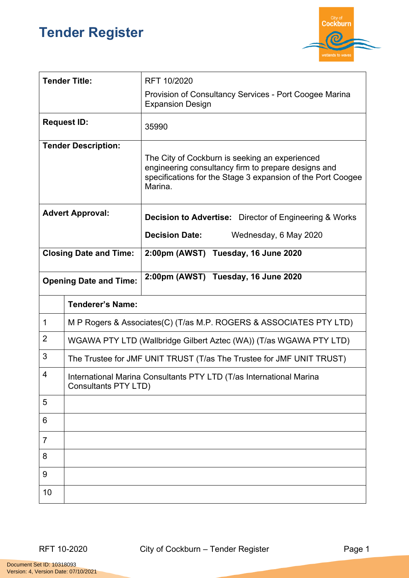## **Tender Register**



| <b>Tender Title:</b>          |                                                                                                    | RFT 10/2020                                                                                                                                                                     |  |
|-------------------------------|----------------------------------------------------------------------------------------------------|---------------------------------------------------------------------------------------------------------------------------------------------------------------------------------|--|
|                               |                                                                                                    | Provision of Consultancy Services - Port Coogee Marina<br><b>Expansion Design</b>                                                                                               |  |
| <b>Request ID:</b>            |                                                                                                    | 35990                                                                                                                                                                           |  |
| <b>Tender Description:</b>    |                                                                                                    | The City of Cockburn is seeking an experienced<br>engineering consultancy firm to prepare designs and<br>specifications for the Stage 3 expansion of the Port Coogee<br>Marina. |  |
| <b>Advert Approval:</b>       |                                                                                                    | <b>Decision to Advertise:</b> Director of Engineering & Works                                                                                                                   |  |
|                               |                                                                                                    | <b>Decision Date:</b><br>Wednesday, 6 May 2020                                                                                                                                  |  |
| <b>Closing Date and Time:</b> |                                                                                                    | 2:00pm (AWST) Tuesday, 16 June 2020                                                                                                                                             |  |
| <b>Opening Date and Time:</b> |                                                                                                    | 2:00pm (AWST) Tuesday, 16 June 2020                                                                                                                                             |  |
|                               | <b>Tenderer's Name:</b>                                                                            |                                                                                                                                                                                 |  |
| 1                             | M P Rogers & Associates(C) (T/as M.P. ROGERS & ASSOCIATES PTY LTD)                                 |                                                                                                                                                                                 |  |
| $\overline{2}$                | WGAWA PTY LTD (Wallbridge Gilbert Aztec (WA)) (T/as WGAWA PTY LTD)                                 |                                                                                                                                                                                 |  |
| 3                             | The Trustee for JMF UNIT TRUST (T/as The Trustee for JMF UNIT TRUST)                               |                                                                                                                                                                                 |  |
| 4                             | International Marina Consultants PTY LTD (T/as International Marina<br><b>Consultants PTY LTD)</b> |                                                                                                                                                                                 |  |
| 5                             |                                                                                                    |                                                                                                                                                                                 |  |
| 6                             |                                                                                                    |                                                                                                                                                                                 |  |
| 7                             |                                                                                                    |                                                                                                                                                                                 |  |
| 8                             |                                                                                                    |                                                                                                                                                                                 |  |
| 9                             |                                                                                                    |                                                                                                                                                                                 |  |
| 10                            |                                                                                                    |                                                                                                                                                                                 |  |